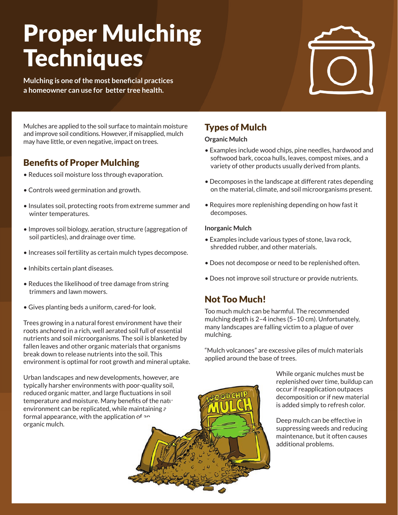# Proper Mulching **Techniques**

**Mulching is one of the most beneficial practices a homeowner can use for better tree health.** 



Mulches are applied to the soil surface to maintain moisture and improve soil conditions. However, if misapplied, mulch may have little, or even negative, impact on trees.

# Benefits of Proper Mulching

- Reduces soil moisture loss through evaporation.
- Controls weed germination and growth.
- Insulates soil, protecting roots from extreme summer and winter temperatures.
- Improves soil biology, aeration, structure (aggregation of soil particles), and drainage over time.
- Increases soil fertility as certain mulch types decompose.
- Inhibits certain plant diseases.
- Reduces the likelihood of tree damage from string trimmers and lawn mowers.
- Gives planting beds a uniform, cared-for look.

Trees growing in a natural forest environment have their roots anchored in a rich, well aerated soil full of essential nutrients and soil microorganisms. The soil is blanketed by fallen leaves and other organic materials that organisms break down to release nutrients into the soil. This environment is optimal for root growth and mineral uptake.

Urban landscapes and new developments, however, are typically harsher environments with poor-quality soil, reduced organic matter, and large fluctuations in soil temperature and moisture. Many benefits of the natural environment can be replicated, while maintaining  $\epsilon$ formal appearance, with the application of  $2<sup>n</sup>$ organic mulch.

## Types of Mulch

#### **Organic Mulch**

- Examples include wood chips, pine needles, hardwood and softwood bark, cocoa hulls, leaves, compost mixes, and a variety of other products usually derived from plants.
- Decomposes in the landscape at different rates depending on the material, climate, and soil microorganisms present.
- Requires more replenishing depending on how fast it decomposes.

#### **Inorganic Mulch**

- Examples include various types of stone, lava rock, shredded rubber, and other materials.
- Does not decompose or need to be replenished often.
- Does not improve soil structure or provide nutrients.

### Not Too Much!

Too much mulch can be harmful. The recommended mulching depth is 2–4 inches (5–10 cm). Unfortunately, many landscapes are falling victim to a plague of over mulching.

"Mulch volcanoes" are excessive piles of mulch materials applied around the base of trees.

> While organic mulches must be replenished over time, buildup can occur if reapplication outpaces decomposition or if new material is added simply to refresh color.

Deep mulch can be effective in suppressing weeds and reducing maintenance, but it often causes additional problems.